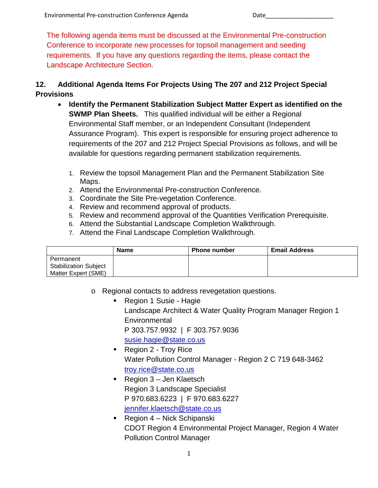The following agenda items must be discussed at the Environmental Pre-construction Conference to incorporate new processes for topsoil management and seeding requirements. If you have any questions regarding the items, please contact the Landscape Architecture Section.

## **12. Additional Agenda Items For Projects Using The 207 and 212 Project Special Provisions**

- **Identify the Permanent Stabilization Subject Matter Expert as identified on the SWMP Plan Sheets.** This qualified individual will be either a Regional Environmental Staff member, or an Independent Consultant (Independent Assurance Program). This expert is responsible for ensuring project adherence to requirements of the 207 and 212 Project Special Provisions as follows, and will be available for questions regarding permanent stabilization requirements.
	- 1. Review the topsoil Management Plan and the Permanent Stabilization Site Maps.
	- 2. Attend the Environmental Pre-construction Conference.
	- 3. Coordinate the Site Pre-vegetation Conference.
	- 4. Review and recommend approval of products.
	- 5. Review and recommend approval of the Quantities Verification Prerequisite.
	- 6. Attend the Substantial Landscape Completion Walkthrough.
	- 7. Attend the Final Landscape Completion Walkthrough.

|                                                                  | <b>Name</b> | <b>Phone number</b> | <b>Email Address</b> |
|------------------------------------------------------------------|-------------|---------------------|----------------------|
| Permanent<br><b>Stabilization Subject</b><br>Matter Expert (SME) |             |                     |                      |

- o Regional contacts to address revegetation questions.
	- Region 1 Susie Hagie Landscape Architect & Water Quality Program Manager Region 1 **Environmental** P 303.757.9932 | F 303.757.9036 [susie.hagie@state.co.us](mailto:susie.hagie@state.co.us)
	- Region 2 Troy Rice Water Pollution Control Manager - Region 2 C 719 648-3462 [troy.rice@state.co.us](mailto:troy.rice@state.co.us)
	- Region 3 Jen Klaetsch Region 3 Landscape Specialist P 970.683.6223 | F 970.683.6227 [jennifer.klaetsch@state.co.us](mailto:jennifer.klaetsch@state.co.us)
	- Region 4 Nick Schipanski CDOT Region 4 Environmental Project Manager, Region 4 Water Pollution Control Manager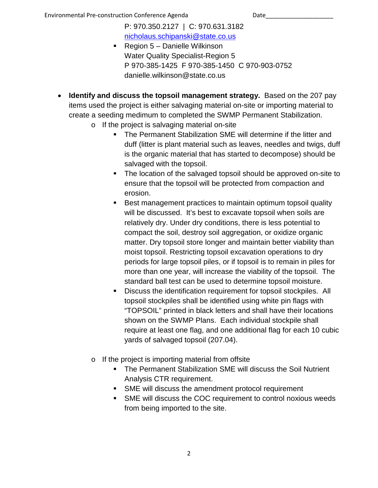P: 970.350.2127 | C: 970.631.3182 [nicholaus.schipanski@state.co.us](mailto:nicholaus.schipanski@state.co.us)

- Region  $5 -$  Danielle Wilkinson Water Quality Specialist-Region 5 P 970-385-1425 F 970-385-1450 C 970-903-0752 danielle.wilkinson@state.co.us
- **Identify and discuss the topsoil management strategy.** Based on the 207 pay items used the project is either salvaging material on-site or importing material to create a seeding medimum to completed the SWMP Permanent Stabilization.
	- o If the project is salvaging material on-site
		- The Permanent Stabilization SME will determine if the litter and duff (litter is plant material such as leaves, needles and twigs, duff is the organic material that has started to decompose) should be salvaged with the topsoil.
		- The location of the salvaged topsoil should be approved on-site to ensure that the topsoil will be protected from compaction and erosion.
		- **Best management practices to maintain optimum topsoil quality** will be discussed. It's best to excavate topsoil when soils are relatively dry. Under dry conditions, there is less potential to compact the soil, destroy soil aggregation, or oxidize organic matter. Dry topsoil store longer and maintain better viability than moist topsoil. Restricting topsoil excavation operations to dry periods for large topsoil piles, or if topsoil is to remain in piles for more than one year, will increase the viability of the topsoil. The standard ball test can be used to determine topsoil moisture.
		- **Discuss the identification requirement for topsoil stockpiles. All** topsoil stockpiles shall be identified using white pin flags with "TOPSOIL" printed in black letters and shall have their locations shown on the SWMP Plans. Each individual stockpile shall require at least one flag, and one additional flag for each 10 cubic yards of salvaged topsoil (207.04).
	- o If the project is importing material from offsite
		- **The Permanent Stabilization SME will discuss the Soil Nutrient** Analysis CTR requirement.
		- **SME** will discuss the amendment protocol requirement
		- SME will discuss the COC requirement to control noxious weeds from being imported to the site.